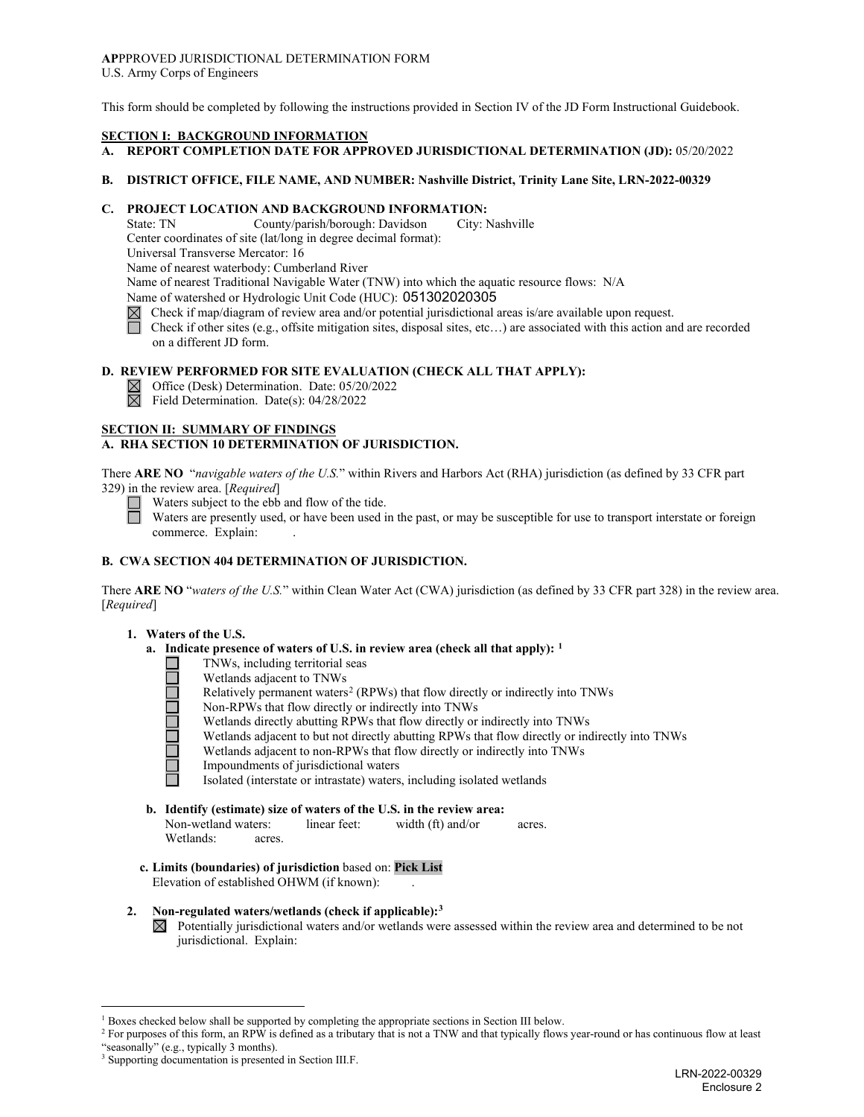#### **AP**PPROVED JURISDICTIONAL DETERMINATION FORM U.S. Army Corps of Engineers

This form should be completed by following the instructions provided in Section IV of the JD Form Instructional Guidebook.

#### **SECTION I: BACKGROUND INFORMATION**

## **A. REPORT COMPLETION DATE FOR APPROVED JURISDICTIONAL DETERMINATION (JD):** 05/20/2022

#### **B. DISTRICT OFFICE, FILE NAME, AND NUMBER: Nashville District, Trinity Lane Site, LRN-2022-00329**

## **C. PROJECT LOCATION AND BACKGROUND INFORMATION:**

State: TN County/parish/borough: Davidson City: Nashville Center coordinates of site (lat/long in degree decimal format): Universal Transverse Mercator: 16

Name of nearest waterbody: Cumberland River

Name of nearest Traditional Navigable Water (TNW) into which the aquatic resource flows: N/A

Name of watershed or Hydrologic Unit Code (HUC): 051302020305

- $\boxtimes$  Check if map/diagram of review area and/or potential jurisdictional areas is/are available upon request.
- Check if other sites (e.g., offsite mitigation sites, disposal sites, etc…) are associated with this action and are recorded on a different JD form.

# **D. REVIEW PERFORMED FOR SITE EVALUATION (CHECK ALL THAT APPLY):**

- $\boxtimes$  Office (Desk) Determination. Date: 05/20/2022
- $\boxtimes$ Field Determination. Date(s): 04/28/2022

## **SECTION II: SUMMARY OF FINDINGS**

# **A. RHA SECTION 10 DETERMINATION OF JURISDICTION.**

There **ARE NO** "*navigable waters of the U.S.*" within Rivers and Harbors Act (RHA) jurisdiction (as defined by 33 CFR part 329) in the review area. [*Required*]

 $\Box$  Waters subject to the ebb and flow of the tide.

Waters are presently used, or have been used in the past, or may be susceptible for use to transport interstate or foreign commerce. Explain:

### **B. CWA SECTION 404 DETERMINATION OF JURISDICTION.**

There **ARE NO** "*waters of the U.S.*" within Clean Water Act (CWA) jurisdiction (as defined by 33 CFR part 328) in the review area. [*Required*]

## **1. Waters of the U.S.**

- **a. Indicate presence of waters of U.S. in review area (check all that apply): [1](#page-0-0)**
	- TNWs, including territorial seas
		- Wetlands adjacent to TNWs
	- Relatively permanent waters<sup>[2](#page-0-1)</sup> (RPWs) that flow directly or indirectly into TNWs
	- Non-RPWs that flow directly or indirectly into TNWs
	- Wetlands directly abutting RPWs that flow directly or indirectly into TNWs
	- Wetlands adjacent to but not directly abutting RPWs that flow directly or indirectly into TNWs
	- Wetlands adjacent to non-RPWs that flow directly or indirectly into TNWs
	- Impoundments of jurisdictional waters
	- Isolated (interstate or intrastate) waters, including isolated wetlands

# **b. Identify (estimate) size of waters of the U.S. in the review area:**

Non-wetland waters: linear feet: width (ft) and/or acres. Wetlands: acres.

- **c. Limits (boundaries) of jurisdiction** based on: **Pick List** Elevation of established OHWM (if known): .
- **2. Non-regulated waters/wetlands (check if applicable):[3](#page-0-2)**
	- $\boxtimes$  Potentially jurisdictional waters and/or wetlands were assessed within the review area and determined to be not jurisdictional. Explain:

<sup>&</sup>lt;sup>1</sup> Boxes checked below shall be supported by completing the appropriate sections in Section III below.

<span id="page-0-1"></span><span id="page-0-0"></span><sup>&</sup>lt;sup>2</sup> For purposes of this form, an RPW is defined as a tributary that is not a TNW and that typically flows year-round or has continuous flow at least "seasonally" (e.g., typically 3 months).

<span id="page-0-2"></span><sup>&</sup>lt;sup>3</sup> Supporting documentation is presented in Section III.F.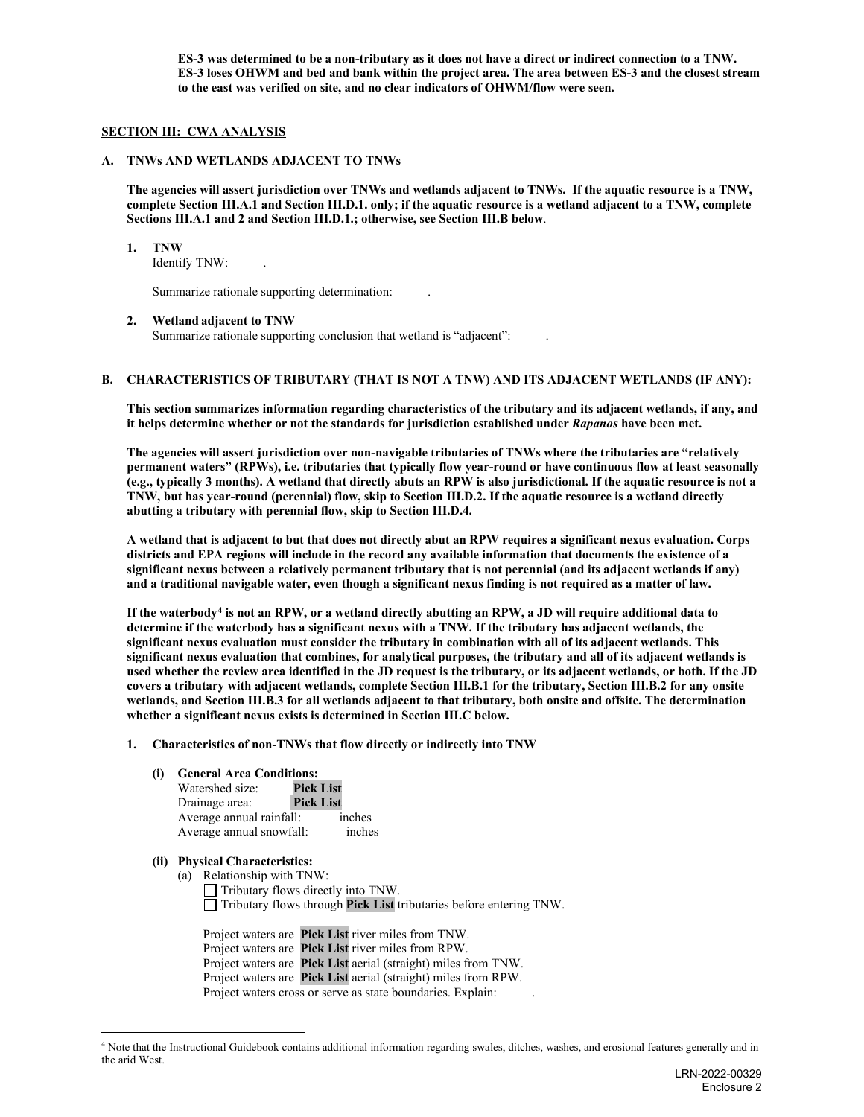**ES-3 was determined to be a non-tributary as it does not have a direct or indirect connection to a TNW. ES-3 loses OHWM and bed and bank within the project area. The area between ES-3 and the closest stream to the east was verified on site, and no clear indicators of OHWM/flow were seen.** 

### **SECTION III: CWA ANALYSIS**

#### **A. TNWs AND WETLANDS ADJACENT TO TNWs**

**The agencies will assert jurisdiction over TNWs and wetlands adjacent to TNWs. If the aquatic resource is a TNW, complete Section III.A.1 and Section III.D.1. only; if the aquatic resource is a wetland adjacent to a TNW, complete Sections III.A.1 and 2 and Section III.D.1.; otherwise, see Section III.B below**.

#### **1. TNW**

Identify TNW: .

Summarize rationale supporting determination: .

### **2. Wetland adjacent to TNW**

Summarize rationale supporting conclusion that wetland is "adjacent": .

## **B. CHARACTERISTICS OF TRIBUTARY (THAT IS NOT A TNW) AND ITS ADJACENT WETLANDS (IF ANY):**

**This section summarizes information regarding characteristics of the tributary and its adjacent wetlands, if any, and it helps determine whether or not the standards for jurisdiction established under** *Rapanos* **have been met.**

**The agencies will assert jurisdiction over non-navigable tributaries of TNWs where the tributaries are "relatively permanent waters" (RPWs), i.e. tributaries that typically flow year-round or have continuous flow at least seasonally (e.g., typically 3 months). A wetland that directly abuts an RPW is also jurisdictional. If the aquatic resource is not a TNW, but has year-round (perennial) flow, skip to Section III.D.2. If the aquatic resource is a wetland directly abutting a tributary with perennial flow, skip to Section III.D.4.**

**A wetland that is adjacent to but that does not directly abut an RPW requires a significant nexus evaluation. Corps districts and EPA regions will include in the record any available information that documents the existence of a significant nexus between a relatively permanent tributary that is not perennial (and its adjacent wetlands if any) and a traditional navigable water, even though a significant nexus finding is not required as a matter of law.**

**If the waterbody[4](#page-1-0) is not an RPW, or a wetland directly abutting an RPW, a JD will require additional data to determine if the waterbody has a significant nexus with a TNW. If the tributary has adjacent wetlands, the significant nexus evaluation must consider the tributary in combination with all of its adjacent wetlands. This significant nexus evaluation that combines, for analytical purposes, the tributary and all of its adjacent wetlands is used whether the review area identified in the JD request is the tributary, or its adjacent wetlands, or both. If the JD covers a tributary with adjacent wetlands, complete Section III.B.1 for the tributary, Section III.B.2 for any onsite wetlands, and Section III.B.3 for all wetlands adjacent to that tributary, both onsite and offsite. The determination whether a significant nexus exists is determined in Section III.C below.**

**1. Characteristics of non-TNWs that flow directly or indirectly into TNW**

#### **(i) General Area Conditions:**

| Watershed size:          | <b>Pick List</b> |
|--------------------------|------------------|
| Drainage area:           | <b>Pick List</b> |
| Average annual rainfall: | inches           |
| Average annual snowfall: | inches           |

### **(ii) Physical Characteristics:**

(a) Relationship with TNW: Tributary flows directly into TNW. Tributary flows through **Pick List** tributaries before entering TNW.

Project waters are **Pick List** river miles from TNW. Project waters are **Pick List** river miles from RPW. Project waters are **Pick List** aerial (straight) miles from TNW. Project waters are **Pick List** aerial (straight) miles from RPW. Project waters cross or serve as state boundaries. Explain: .

<span id="page-1-0"></span><sup>&</sup>lt;sup>4</sup> Note that the Instructional Guidebook contains additional information regarding swales, ditches, washes, and erosional features generally and in the arid West.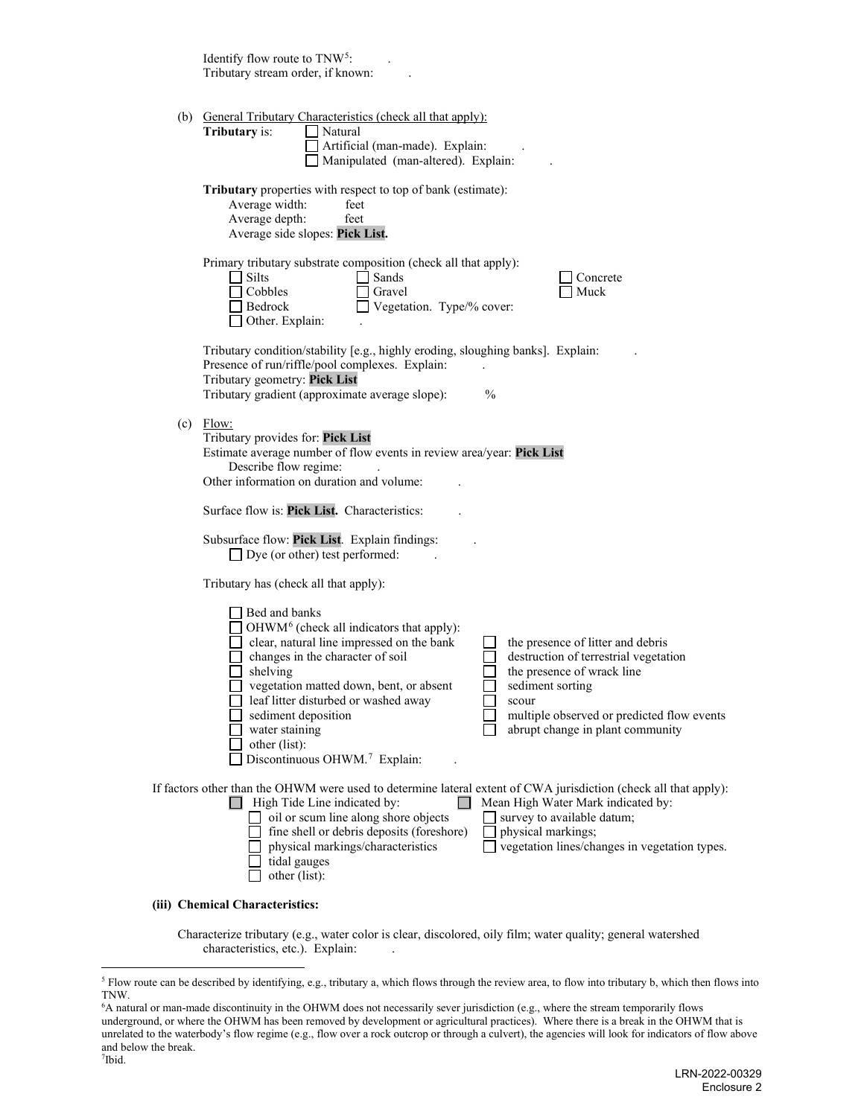| Identify flow route to TNW <sup>5</sup> :<br>Tributary stream order, if known:                                                                                                                                                                                                                                                                                                                                                                                                                                                                                                          |
|-----------------------------------------------------------------------------------------------------------------------------------------------------------------------------------------------------------------------------------------------------------------------------------------------------------------------------------------------------------------------------------------------------------------------------------------------------------------------------------------------------------------------------------------------------------------------------------------|
| (b) General Tributary Characteristics (check all that apply):<br><b>Tributary</b> is:<br>Natural<br>Artificial (man-made). Explain:<br>Manipulated (man-altered). Explain:                                                                                                                                                                                                                                                                                                                                                                                                              |
| Tributary properties with respect to top of bank (estimate):<br>Average width:<br>feet<br>Average depth:<br>feet<br>Average side slopes: Pick List.                                                                                                                                                                                                                                                                                                                                                                                                                                     |
| Primary tributary substrate composition (check all that apply):<br>Silts<br>Sands<br>Concrete<br>Cobbles<br>Muck<br>Gravel<br>Vegetation. Type/% cover:<br>Bedrock<br>Other. Explain:                                                                                                                                                                                                                                                                                                                                                                                                   |
| Tributary condition/stability [e.g., highly eroding, sloughing banks]. Explain:<br>Presence of run/riffle/pool complexes. Explain:<br>Tributary geometry: Pick List<br>$\frac{0}{0}$<br>Tributary gradient (approximate average slope):                                                                                                                                                                                                                                                                                                                                                 |
| $(c)$ Flow:<br>Tributary provides for: Pick List<br>Estimate average number of flow events in review area/year: Pick List<br>Describe flow regime:<br>Other information on duration and volume:                                                                                                                                                                                                                                                                                                                                                                                         |
| Surface flow is: Pick List. Characteristics:                                                                                                                                                                                                                                                                                                                                                                                                                                                                                                                                            |
| Subsurface flow: Pick List. Explain findings:<br>$\Box$ Dye (or other) test performed:                                                                                                                                                                                                                                                                                                                                                                                                                                                                                                  |
| Tributary has (check all that apply):                                                                                                                                                                                                                                                                                                                                                                                                                                                                                                                                                   |
| Bed and banks<br>OHWM <sup>6</sup> (check all indicators that apply):<br>clear, natural line impressed on the bank<br>the presence of litter and debris<br>changes in the character of soil<br>destruction of terrestrial vegetation<br>shelving<br>the presence of wrack line<br>vegetation matted down, bent, or absent<br>sediment sorting<br>leaf litter disturbed or washed away<br>scour<br>sediment deposition<br>multiple observed or predicted flow events<br>abrupt change in plant community<br>water staining<br>other (list):<br>Discontinuous OHWM. <sup>7</sup> Explain: |
| If factors other than the OHWM were used to determine lateral extent of CWA jurisdiction (check all that apply):<br>High Tide Line indicated by:<br>Mean High Water Mark indicated by:<br>oil or scum line along shore objects<br>survey to available datum;<br>fine shell or debris deposits (foreshore)<br>physical markings;<br>vegetation lines/changes in vegetation types.<br>physical markings/characteristics<br>tidal gauges<br>other (list):                                                                                                                                  |
| (iii) Chemical Characteristics:                                                                                                                                                                                                                                                                                                                                                                                                                                                                                                                                                         |

Characterize tributary (e.g., water color is clear, discolored, oily film; water quality; general watershed characteristics, etc.). Explain: .

<span id="page-2-0"></span><sup>&</sup>lt;sup>5</sup> Flow route can be described by identifying, e.g., tributary a, which flows through the review area, to flow into tributary b, which then flows into TNW.

<span id="page-2-2"></span><span id="page-2-1"></span><sup>6</sup> A natural or man-made discontinuity in the OHWM does not necessarily sever jurisdiction (e.g., where the stream temporarily flows underground, or where the OHWM has been removed by development or agricultural practices). Where there is a break in the OHWM that is unrelated to the waterbody's flow regime (e.g., flow over a rock outcrop or through a culvert), the agencies will look for indicators of flow above and below the break. 7 Ibid.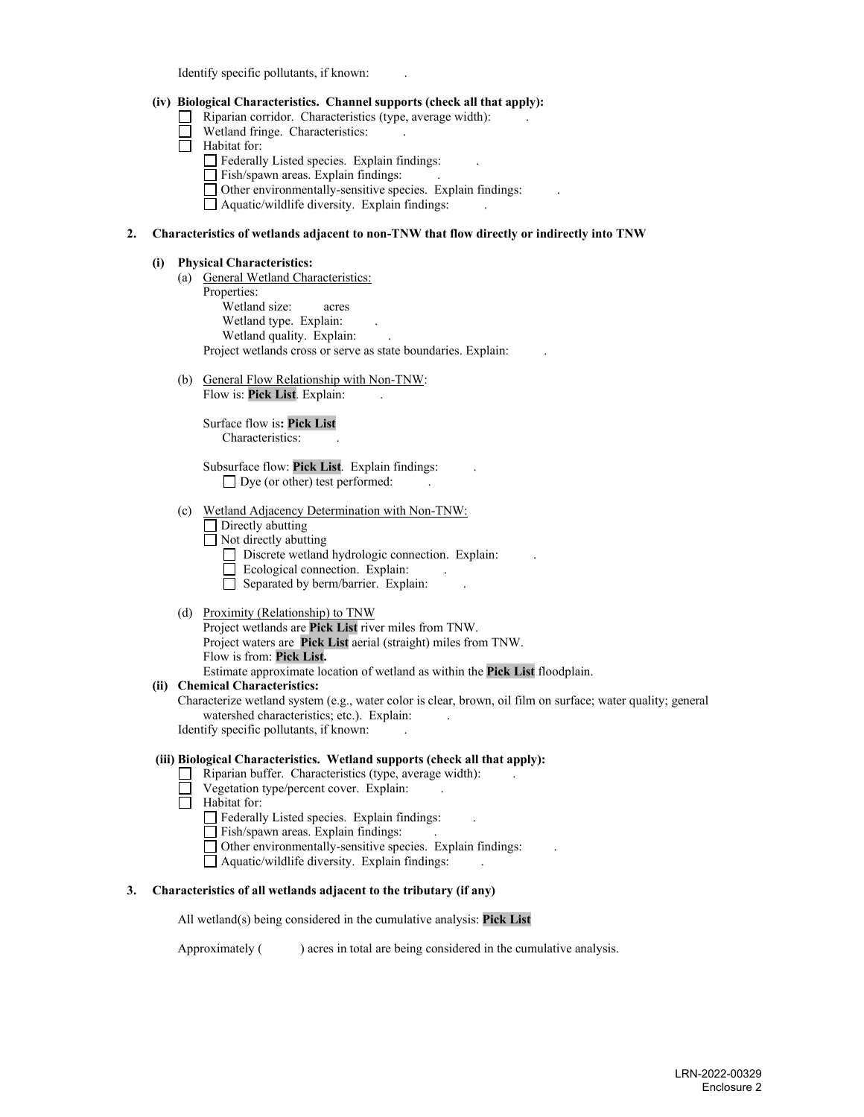Identify specific pollutants, if known:

## **(iv) Biological Characteristics. Channel supports (check all that apply):**

- Riparian corridor. Characteristics (type, average width):<br>  $\Box$  Wetland fringe. Characteristics:
- Wetland fringe. Characteristics:
- $\Box$  Habitat for:
	- Federally Listed species. Explain findings:
	- $\Box$  Fish/spawn areas. Explain findings:
	- $\Box$  Other environmentally-sensitive species. Explain findings:
	- $\Box$  Aquatic/wildlife diversity. Explain findings:

### **2. Characteristics of wetlands adjacent to non-TNW that flow directly or indirectly into TNW**

#### **(i) Physical Characteristics:**

- (a) General Wetland Characteristics: Properties: Wetland size: acres Wetland type. Explain: Wetland quality. Explain: Project wetlands cross or serve as state boundaries. Explain: .
- (b) General Flow Relationship with Non-TNW: Flow is: **Pick List**. Explain: .

 Surface flow is**: Pick List**  Characteristics: .

 Subsurface flow: **Pick List**. Explain findings: .  $\Box$  Dye (or other) test performed:

- (c) Wetland Adjacency Determination with Non-TNW:
	- **Directly abutting**
	- $\Box$  Not directly abutting
		- Discrete wetland hydrologic connection. Explain:
		- $\Box$  Ecological connection. Explain:
		- $\Box$  Separated by berm/barrier. Explain:
- (d) Proximity (Relationship) to TNW
	- Project wetlands are **Pick List** river miles from TNW. Project waters are **Pick List** aerial (straight) miles from TNW. Flow is from: **Pick List.** Estimate approximate location of wetland as within the **Pick List** floodplain.

**(ii) Chemical Characteristics:**

Characterize wetland system (e.g., water color is clear, brown, oil film on surface; water quality; general watershed characteristics; etc.). Explain:

Identify specific pollutants, if known: .

### **(iii) Biological Characteristics. Wetland supports (check all that apply):**

- $\Box$  Riparian buffer. Characteristics (type, average width):
- Vegetation type/percent cover. Explain:
- $\overline{\Box}$  Habitat for:
	- Federally Listed species. Explain findings:
	- Fish/spawn areas. Explain findings: .
	- Other environmentally-sensitive species. Explain findings: .
	- $\Box$  Aquatic/wildlife diversity. Explain findings:

### **3. Characteristics of all wetlands adjacent to the tributary (if any)**

All wetland(s) being considered in the cumulative analysis: **Pick List**

Approximately ( ) acres in total are being considered in the cumulative analysis.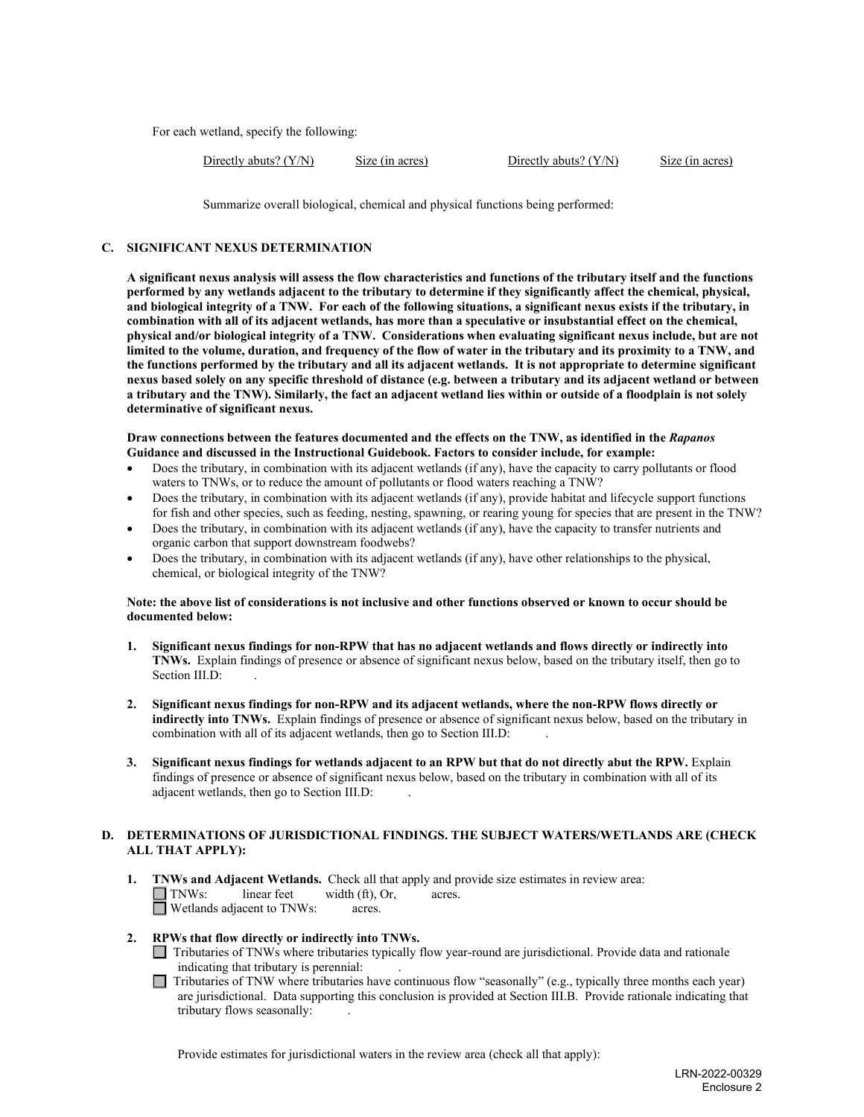For each wetland, specify the following:

Directly abuts? (Y/N) Size (in acres) Directly abuts? (Y/N) Size (in acres)

Summarize overall biological, chemical and physical functions being performed:

## **C. SIGNIFICANT NEXUS DETERMINATION**

**A significant nexus analysis will assess the flow characteristics and functions of the tributary itself and the functions performed by any wetlands adjacent to the tributary to determine if they significantly affect the chemical, physical, and biological integrity of a TNW. For each of the following situations, a significant nexus exists if the tributary, in combination with all of its adjacent wetlands, has more than a speculative or insubstantial effect on the chemical, physical and/or biological integrity of a TNW. Considerations when evaluating significant nexus include, but are not limited to the volume, duration, and frequency of the flow of water in the tributary and its proximity to a TNW, and the functions performed by the tributary and all its adjacent wetlands. It is not appropriate to determine significant nexus based solely on any specific threshold of distance (e.g. between a tributary and its adjacent wetland or between a tributary and the TNW). Similarly, the fact an adjacent wetland lies within or outside of a floodplain is not solely determinative of significant nexus.** 

#### **Draw connections between the features documented and the effects on the TNW, as identified in the** *Rapanos* **Guidance and discussed in the Instructional Guidebook. Factors to consider include, for example:**

- Does the tributary, in combination with its adjacent wetlands (if any), have the capacity to carry pollutants or flood waters to TNWs, or to reduce the amount of pollutants or flood waters reaching a TNW?
- Does the tributary, in combination with its adjacent wetlands (if any), provide habitat and lifecycle support functions for fish and other species, such as feeding, nesting, spawning, or rearing young for species that are present in the TNW?
- Does the tributary, in combination with its adjacent wetlands (if any), have the capacity to transfer nutrients and organic carbon that support downstream foodwebs?
- Does the tributary, in combination with its adjacent wetlands (if any), have other relationships to the physical, chemical, or biological integrity of the TNW?

### **Note: the above list of considerations is not inclusive and other functions observed or known to occur should be documented below:**

- **1. Significant nexus findings for non-RPW that has no adjacent wetlands and flows directly or indirectly into TNWs.** Explain findings of presence or absence of significant nexus below, based on the tributary itself, then go to Section III.D:
- **2. Significant nexus findings for non-RPW and its adjacent wetlands, where the non-RPW flows directly or indirectly into TNWs.** Explain findings of presence or absence of significant nexus below, based on the tributary in combination with all of its adjacent wetlands, then go to Section III.D: .
- **3. Significant nexus findings for wetlands adjacent to an RPW but that do not directly abut the RPW.** Explain findings of presence or absence of significant nexus below, based on the tributary in combination with all of its adjacent wetlands, then go to Section III.D: .

## **D. DETERMINATIONS OF JURISDICTIONAL FINDINGS. THE SUBJECT WATERS/WETLANDS ARE (CHECK ALL THAT APPLY):**

**1. INWs and Adjacent Wetlands.** Check all that apply and provide size estimates in review area:  $\Box$  **TNWs:** linear feet width (ft), Or, acres. width (ft), Or, acres. **<u>I</u>** Wetlands adjacent to TNWs: acres.

### **2. RPWs that flow directly or indirectly into TNWs.**

- Tributaries of TNWs where tributaries typically flow year-round are jurisdictional. Provide data and rationale indicating that tributary is perennial: .
- $\Box$  Tributaries of TNW where tributaries have continuous flow "seasonally" (e.g., typically three months each year) are jurisdictional. Data supporting this conclusion is provided at Section III.B. Provide rationale indicating that tributary flows seasonally: .

Provide estimates for jurisdictional waters in the review area (check all that apply):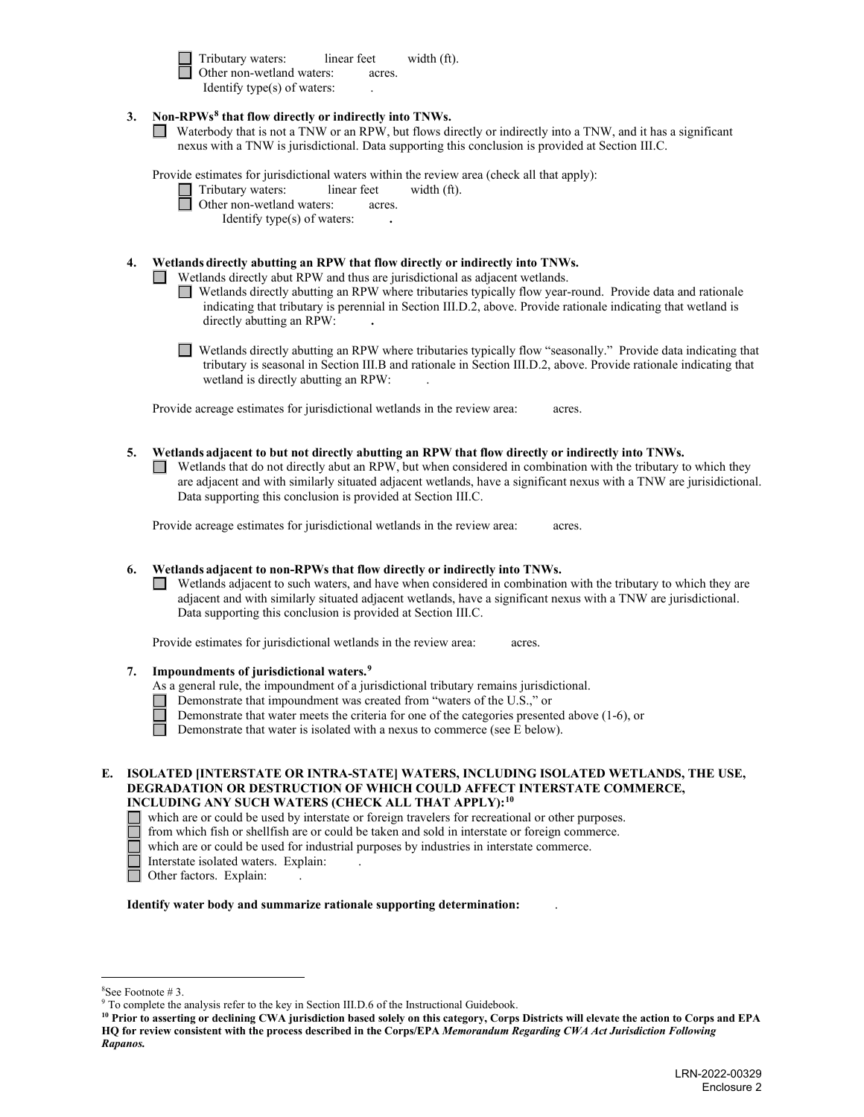Tributary waters:linear feetwidth (ft).Other non-wetland waters:acres. Identify type(s) of waters: .

## **3. Non-RPWs[8](#page-5-0) that flow directly or indirectly into TNWs.**

Waterbody that is not a TNW or an RPW, but flows directly or indirectly into a TNW, and it has a significant nexus with a TNW is jurisdictional. Data supporting this conclusion is provided at Section III.C.

Provide estimates for jurisdictional waters within the review area (check all that apply):

| $\prod$ Tributary waters: | linear feet | width (ft). |
|---------------------------|-------------|-------------|
|---------------------------|-------------|-------------|

Other non-wetland waters:acres.

Identify type(s) of waters: **.** 

## **4. Wetlands directly abutting an RPW that flow directly or indirectly into TNWs.**

Wetlands directly abut RPW and thus are jurisdictional as adjacent wetlands.

- Wetlands directly abutting an RPW where tributaries typically flow year-round. Provide data and rationale indicating that tributary is perennial in Section III.D.2, above. Provide rationale indicating that wetland is directly abutting an RPW: **.**
- Wetlands directly abutting an RPW where tributaries typically flow "seasonally." Provide data indicating that tributary is seasonal in Section III.B and rationale in Section III.D.2, above. Provide rationale indicating that wetland is directly abutting an RPW: .

Provide acreage estimates for jurisdictional wetlands in the review area:acres.

- **5. Wetlands adjacent to but not directly abutting an RPW that flow directly or indirectly into TNWs.** 
	- Wetlands that do not directly abut an RPW, but when considered in combination with the tributary to which they are adjacent and with similarly situated adjacent wetlands, have a significant nexus with a TNW are jurisidictional. Data supporting this conclusion is provided at Section III.C.

Provide acreage estimates for jurisdictional wetlands in the review area:acres.

## **6. Wetlands adjacent to non-RPWs that flow directly or indirectly into TNWs.**

Wetlands adjacent to such waters, and have when considered in combination with the tributary to which they are adjacent and with similarly situated adjacent wetlands, have a significant nexus with a TNW are jurisdictional. Data supporting this conclusion is provided at Section III.C.

Provide estimates for jurisdictional wetlands in the review area:acres.

# **7. Impoundments of jurisdictional waters.[9](#page-5-1)**

- As a general rule, the impoundment of a jurisdictional tributary remains jurisdictional.
- Demonstrate that impoundment was created from "waters of the U.S.," or
- Demonstrate that water meets the criteria for one of the categories presented above (1-6), or
- П Demonstrate that water is isolated with a nexus to commerce (see E below).
- **E. ISOLATED [INTERSTATE OR INTRA-STATE] WATERS, INCLUDING ISOLATED WETLANDS, THE USE, DEGRADATION OR DESTRUCTION OF WHICH COULD AFFECT INTERSTATE COMMERCE, INCLUDING ANY SUCH WATERS (CHECK ALL THAT APPLY):[10](#page-5-2)**
	- which are or could be used by interstate or foreign travelers for recreational or other purposes.
	- from which fish or shellfish are or could be taken and sold in interstate or foreign commerce.
	- which are or could be used for industrial purposes by industries in interstate commerce.
	- Interstate isolated waters.Explain: .
	- □ Other factors. Explain:

**Identify water body and summarize rationale supporting determination:** .

<span id="page-5-0"></span> $8$ See Footnote # 3

 $9$  To complete the analysis refer to the key in Section III.D.6 of the Instructional Guidebook.

<span id="page-5-2"></span><span id="page-5-1"></span>**<sup>10</sup> Prior to asserting or declining CWA jurisdiction based solely on this category, Corps Districts will elevate the action to Corps and EPA HQ for review consistent with the process described in the Corps/EPA** *Memorandum Regarding CWA Act Jurisdiction Following Rapanos.*